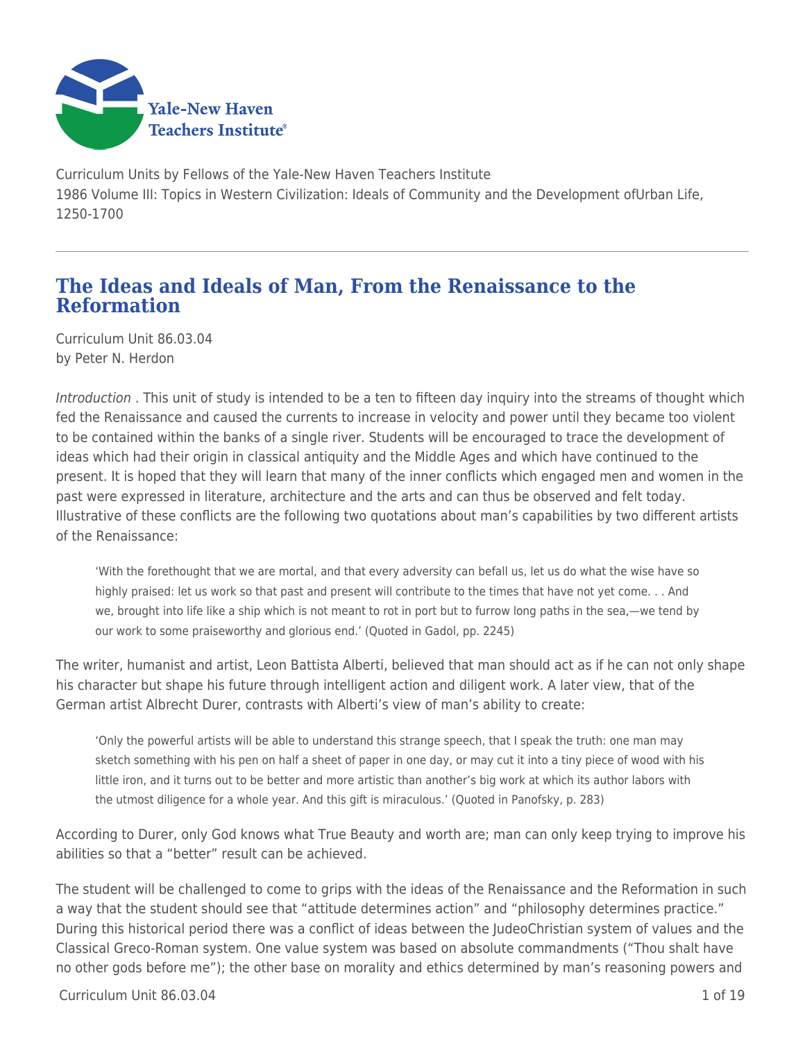

Curriculum Units by Fellows of the Yale-New Haven Teachers Institute 1986 Volume III: Topics in Western Civilization: Ideals of Community and the Development ofUrban Life, 1250-1700

# **The Ideas and Ideals of Man, From the Renaissance to the Reformation**

Curriculum Unit 86.03.04 by Peter N. Herdon

Introduction . This unit of study is intended to be a ten to fifteen day inquiry into the streams of thought which fed the Renaissance and caused the currents to increase in velocity and power until they became too violent to be contained within the banks of a single river. Students will be encouraged to trace the development of ideas which had their origin in classical antiquity and the Middle Ages and which have continued to the present. It is hoped that they will learn that many of the inner conflicts which engaged men and women in the past were expressed in literature, architecture and the arts and can thus be observed and felt today. Illustrative of these conflicts are the following two quotations about man's capabilities by two different artists of the Renaissance:

'With the forethought that we are mortal, and that every adversity can befall us, let us do what the wise have so highly praised: let us work so that past and present will contribute to the times that have not yet come. . . And we, brought into life like a ship which is not meant to rot in port but to furrow long paths in the sea,—we tend by our work to some praiseworthy and glorious end.' (Quoted in Gadol, pp. 2245)

The writer, humanist and artist, Leon Battista Alberti, believed that man should act as if he can not only shape his character but shape his future through intelligent action and diligent work. A later view, that of the German artist Albrecht Durer, contrasts with Alberti's view of man's ability to create:

'Only the powerful artists will be able to understand this strange speech, that I speak the truth: one man may sketch something with his pen on half a sheet of paper in one day, or may cut it into a tiny piece of wood with his little iron, and it turns out to be better and more artistic than another's big work at which its author labors with the utmost diligence for a whole year. And this gift is miraculous.' (Quoted in Panofsky, p. 283)

According to Durer, only God knows what True Beauty and worth are; man can only keep trying to improve his abilities so that a "better" result can be achieved.

The student will be challenged to come to grips with the ideas of the Renaissance and the Reformation in such a way that the student should see that "attitude determines action" and "philosophy determines practice." During this historical period there was a conflict of ideas between the JudeoChristian system of values and the Classical Greco-Roman system. One value system was based on absolute commandments ("Thou shalt have no other gods before me"); the other base on morality and ethics determined by man's reasoning powers and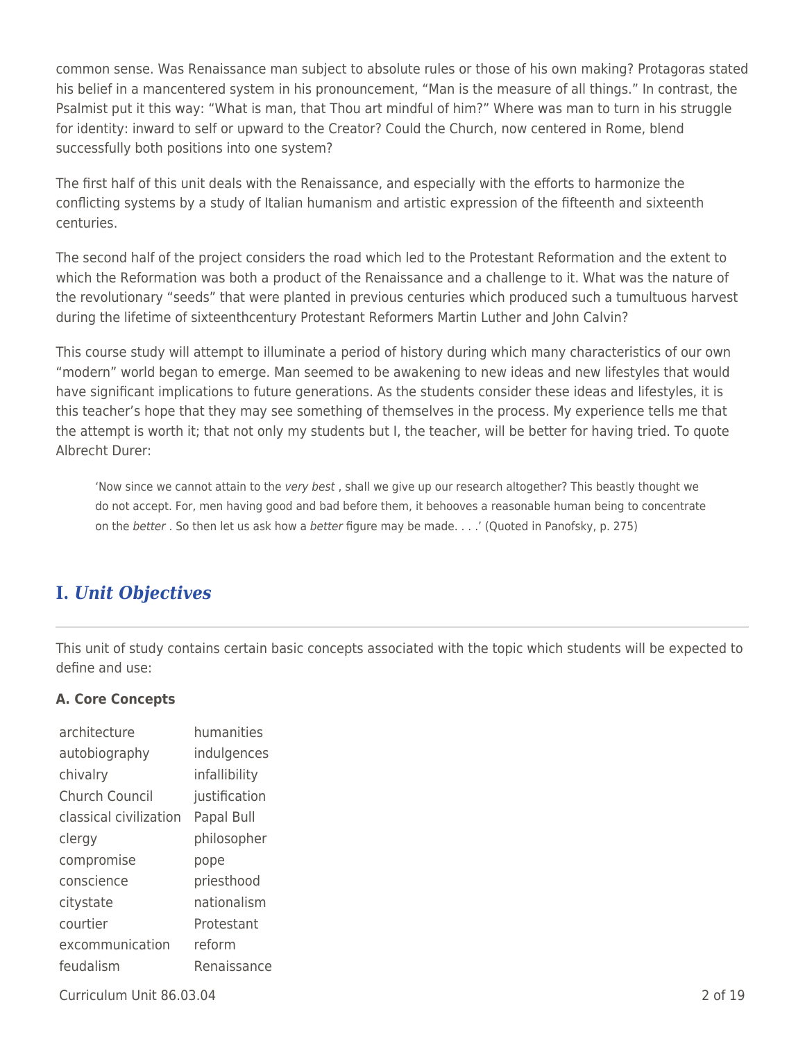common sense. Was Renaissance man subject to absolute rules or those of his own making? Protagoras stated his belief in a mancentered system in his pronouncement, "Man is the measure of all things." In contrast, the Psalmist put it this way: "What is man, that Thou art mindful of him?" Where was man to turn in his struggle for identity: inward to self or upward to the Creator? Could the Church, now centered in Rome, blend successfully both positions into one system?

The first half of this unit deals with the Renaissance, and especially with the efforts to harmonize the conflicting systems by a study of Italian humanism and artistic expression of the fifteenth and sixteenth centuries.

The second half of the project considers the road which led to the Protestant Reformation and the extent to which the Reformation was both a product of the Renaissance and a challenge to it. What was the nature of the revolutionary "seeds" that were planted in previous centuries which produced such a tumultuous harvest during the lifetime of sixteenthcentury Protestant Reformers Martin Luther and John Calvin?

This course study will attempt to illuminate a period of history during which many characteristics of our own "modern" world began to emerge. Man seemed to be awakening to new ideas and new lifestyles that would have significant implications to future generations. As the students consider these ideas and lifestyles, it is this teacher's hope that they may see something of themselves in the process. My experience tells me that the attempt is worth it; that not only my students but I, the teacher, will be better for having tried. To quote Albrecht Durer:

'Now since we cannot attain to the very best, shall we give up our research altogether? This beastly thought we do not accept. For, men having good and bad before them, it behooves a reasonable human being to concentrate on the better . So then let us ask how a better figure may be made. . . .' (Quoted in Panofsky, p. 275)

# **I.** *Unit Objectives*

This unit of study contains certain basic concepts associated with the topic which students will be expected to define and use:

# **A. Core Concepts**

| architecture           | humanities    |
|------------------------|---------------|
| autobiography          | indulgences   |
| chivalry               | infallibility |
| Church Council         | justification |
| classical civilization | Papal Bull    |
| clergy                 | philosopher   |
| compromise             | pope          |
| conscience             | priesthood    |
| citystate              | nationalism   |
| courtier               | Protestant    |
| excommunication        | reform        |
| feudalism              | Renaissance   |

Curriculum Unit 86.03.04 2 of 19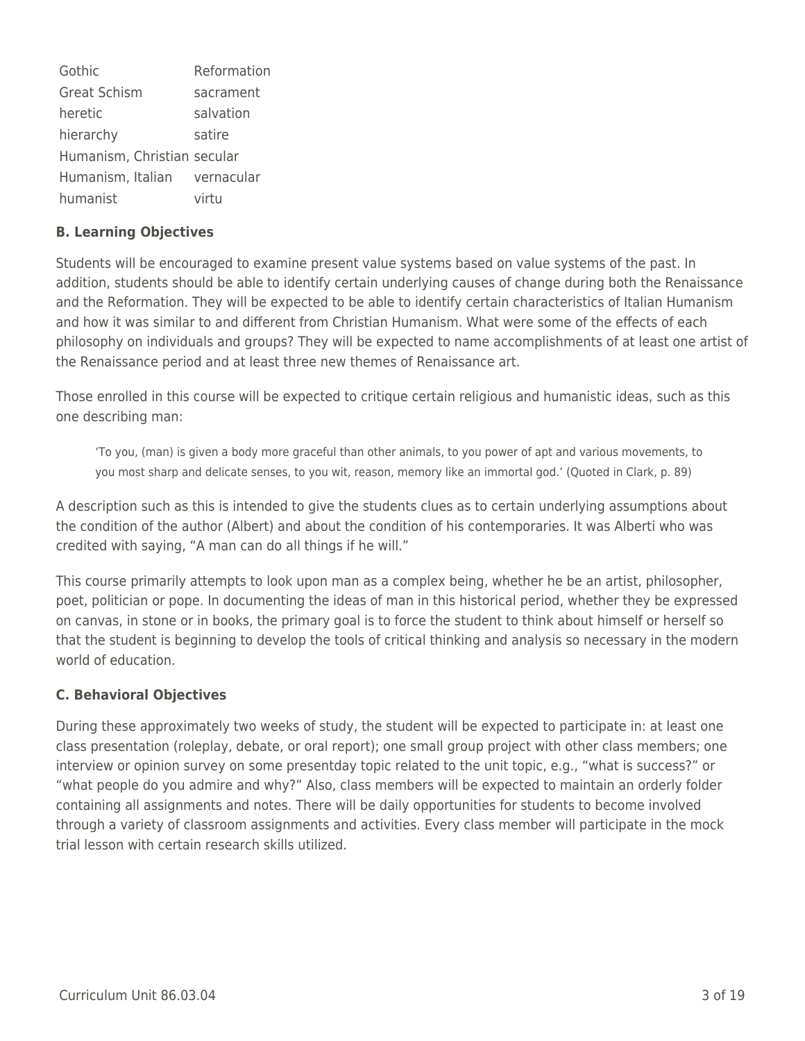| Gothic                       | Reformation |
|------------------------------|-------------|
| <b>Great Schism</b>          | sacrament   |
| heretic                      | salvation   |
| hierarchy                    | satire      |
| Humanism, Christian secular  |             |
| Humanism, Italian vernacular |             |
| humanist                     | virtu       |

## **B. Learning Objectives**

Students will be encouraged to examine present value systems based on value systems of the past. In addition, students should be able to identify certain underlying causes of change during both the Renaissance and the Reformation. They will be expected to be able to identify certain characteristics of Italian Humanism and how it was similar to and different from Christian Humanism. What were some of the effects of each philosophy on individuals and groups? They will be expected to name accomplishments of at least one artist of the Renaissance period and at least three new themes of Renaissance art.

Those enrolled in this course will be expected to critique certain religious and humanistic ideas, such as this one describing man:

'To you, (man) is given a body more graceful than other animals, to you power of apt and various movements, to you most sharp and delicate senses, to you wit, reason, memory like an immortal god.' (Quoted in Clark, p. 89)

A description such as this is intended to give the students clues as to certain underlying assumptions about the condition of the author (Albert) and about the condition of his contemporaries. It was Alberti who was credited with saying, "A man can do all things if he will."

This course primarily attempts to look upon man as a complex being, whether he be an artist, philosopher, poet, politician or pope. In documenting the ideas of man in this historical period, whether they be expressed on canvas, in stone or in books, the primary goal is to force the student to think about himself or herself so that the student is beginning to develop the tools of critical thinking and analysis so necessary in the modern world of education.

# **C. Behavioral Objectives**

During these approximately two weeks of study, the student will be expected to participate in: at least one class presentation (roleplay, debate, or oral report); one small group project with other class members; one interview or opinion survey on some presentday topic related to the unit topic, e.g., "what is success?" or "what people do you admire and why?" Also, class members will be expected to maintain an orderly folder containing all assignments and notes. There will be daily opportunities for students to become involved through a variety of classroom assignments and activities. Every class member will participate in the mock trial lesson with certain research skills utilized.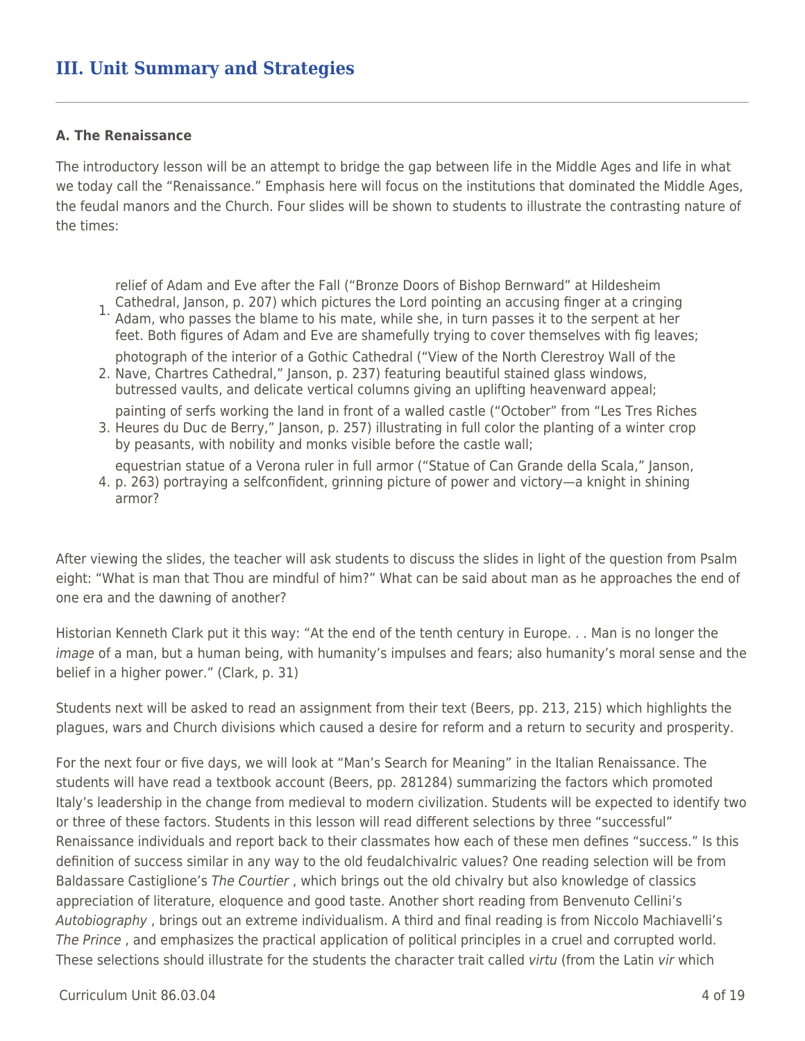# **III. Unit Summary and Strategies**

#### **A. The Renaissance**

The introductory lesson will be an attempt to bridge the gap between life in the Middle Ages and life in what we today call the "Renaissance." Emphasis here will focus on the institutions that dominated the Middle Ages, the feudal manors and the Church. Four slides will be shown to students to illustrate the contrasting nature of the times:

relief of Adam and Eve after the Fall ("Bronze Doors of Bishop Bernward" at Hildesheim

- 1. Cathedral, Janson, p. 207) which pictures the Lord pointing an accusing finger at a cringing<br>1. Adam, who passes the blame to bis mate, while she, in turn passes it to the serpent at ber Adam, who passes the blame to his mate, while she, in turn passes it to the serpent at her feet. Both figures of Adam and Eve are shamefully trying to cover themselves with fig leaves; photograph of the interior of a Gothic Cathedral ("View of the North Clerestroy Wall of the
- 2. Nave, Chartres Cathedral," Janson, p. 237) featuring beautiful stained glass windows, butressed vaults, and delicate vertical columns giving an uplifting heavenward appeal; painting of serfs working the land in front of a walled castle ("October" from "Les Tres Riches
- 3. Heures du Duc de Berry," Janson, p. 257) illustrating in full color the planting of a winter crop by peasants, with nobility and monks visible before the castle wall; equestrian statue of a Verona ruler in full armor ("Statue of Can Grande della Scala," Janson,
- 4. p. 263) portraying a selfconfident, grinning picture of power and victory—a knight in shining armor?

After viewing the slides, the teacher will ask students to discuss the slides in light of the question from Psalm eight: "What is man that Thou are mindful of him?" What can be said about man as he approaches the end of one era and the dawning of another?

Historian Kenneth Clark put it this way: "At the end of the tenth century in Europe. . . Man is no longer the image of a man, but a human being, with humanity's impulses and fears; also humanity's moral sense and the belief in a higher power." (Clark, p. 31)

Students next will be asked to read an assignment from their text (Beers, pp. 213, 215) which highlights the plagues, wars and Church divisions which caused a desire for reform and a return to security and prosperity.

For the next four or five days, we will look at "Man's Search for Meaning" in the Italian Renaissance. The students will have read a textbook account (Beers, pp. 281284) summarizing the factors which promoted Italy's leadership in the change from medieval to modern civilization. Students will be expected to identify two or three of these factors. Students in this lesson will read different selections by three "successful" Renaissance individuals and report back to their classmates how each of these men defines "success." Is this definition of success similar in any way to the old feudalchivalric values? One reading selection will be from Baldassare Castiglione's The Courtier, which brings out the old chivalry but also knowledge of classics appreciation of literature, eloquence and good taste. Another short reading from Benvenuto Cellini's Autobiography , brings out an extreme individualism. A third and final reading is from Niccolo Machiavelli's The Prince , and emphasizes the practical application of political principles in a cruel and corrupted world. These selections should illustrate for the students the character trait called *virtu* (from the Latin *vir* which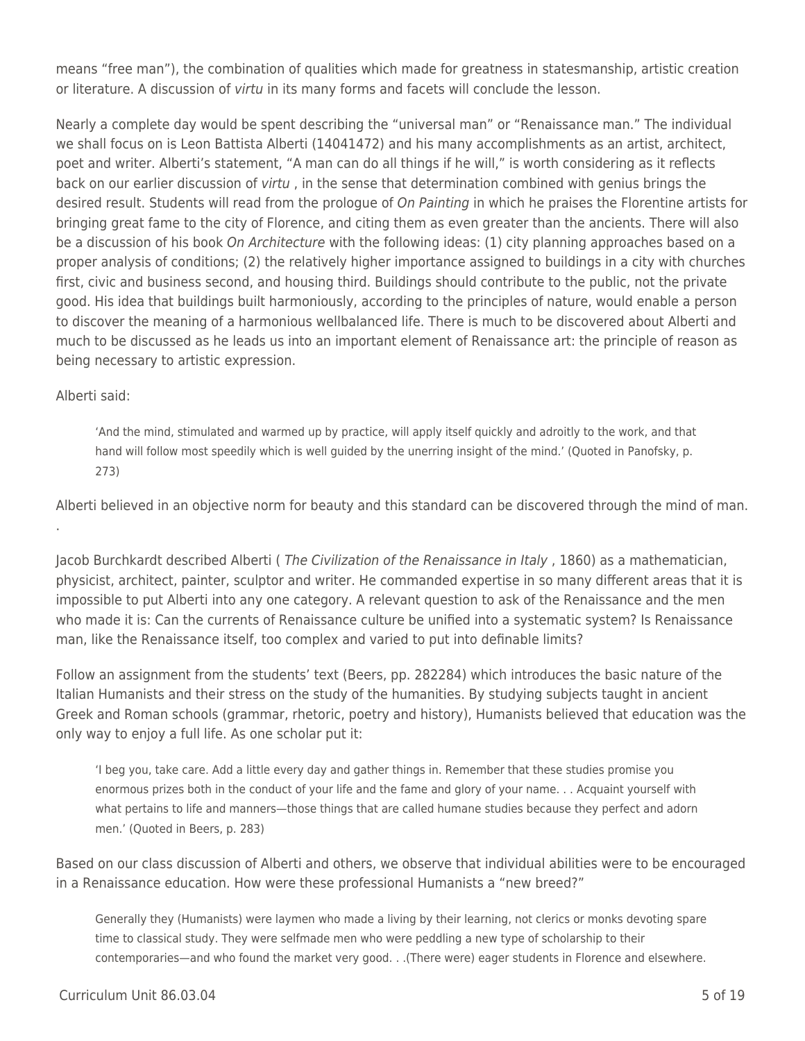means "free man"), the combination of qualities which made for greatness in statesmanship, artistic creation or literature. A discussion of virtu in its many forms and facets will conclude the lesson.

Nearly a complete day would be spent describing the "universal man" or "Renaissance man." The individual we shall focus on is Leon Battista Alberti (14041472) and his many accomplishments as an artist, architect, poet and writer. Alberti's statement, "A man can do all things if he will," is worth considering as it reflects back on our earlier discussion of *virtu*, in the sense that determination combined with genius brings the desired result. Students will read from the prologue of On Painting in which he praises the Florentine artists for bringing great fame to the city of Florence, and citing them as even greater than the ancients. There will also be a discussion of his book *On Architecture* with the following ideas: (1) city planning approaches based on a proper analysis of conditions; (2) the relatively higher importance assigned to buildings in a city with churches first, civic and business second, and housing third. Buildings should contribute to the public, not the private good. His idea that buildings built harmoniously, according to the principles of nature, would enable a person to discover the meaning of a harmonious wellbalanced life. There is much to be discovered about Alberti and much to be discussed as he leads us into an important element of Renaissance art: the principle of reason as being necessary to artistic expression.

## Alberti said:

'And the mind, stimulated and warmed up by practice, will apply itself quickly and adroitly to the work, and that hand will follow most speedily which is well guided by the unerring insight of the mind.' (Quoted in Panofsky, p. 273)

Alberti believed in an objective norm for beauty and this standard can be discovered through the mind of man. .

Jacob Burchkardt described Alberti ( The Civilization of the Renaissance in Italy , 1860) as a mathematician, physicist, architect, painter, sculptor and writer. He commanded expertise in so many different areas that it is impossible to put Alberti into any one category. A relevant question to ask of the Renaissance and the men who made it is: Can the currents of Renaissance culture be unified into a systematic system? Is Renaissance man, like the Renaissance itself, too complex and varied to put into definable limits?

Follow an assignment from the students' text (Beers, pp. 282284) which introduces the basic nature of the Italian Humanists and their stress on the study of the humanities. By studying subjects taught in ancient Greek and Roman schools (grammar, rhetoric, poetry and history), Humanists believed that education was the only way to enjoy a full life. As one scholar put it:

'I beg you, take care. Add a little every day and gather things in. Remember that these studies promise you enormous prizes both in the conduct of your life and the fame and glory of your name. . . Acquaint yourself with what pertains to life and manners—those things that are called humane studies because they perfect and adorn men.' (Quoted in Beers, p. 283)

Based on our class discussion of Alberti and others, we observe that individual abilities were to be encouraged in a Renaissance education. How were these professional Humanists a "new breed?"

Generally they (Humanists) were laymen who made a living by their learning, not clerics or monks devoting spare time to classical study. They were selfmade men who were peddling a new type of scholarship to their contemporaries—and who found the market very good. . .(There were) eager students in Florence and elsewhere.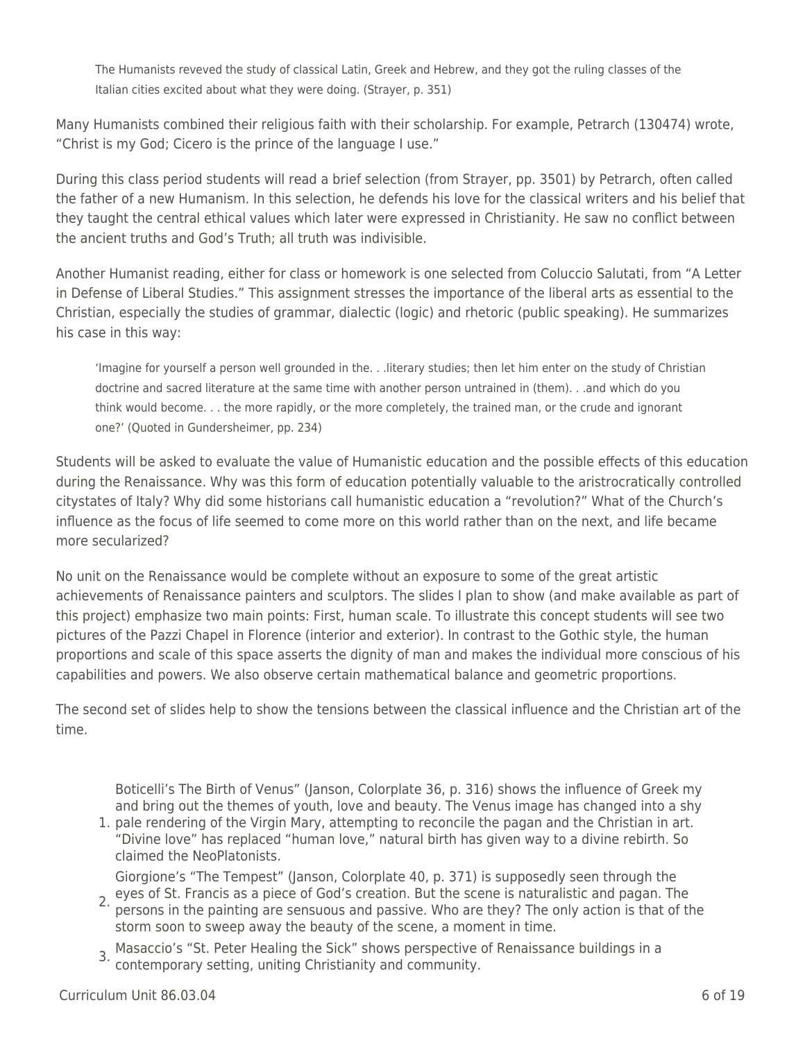The Humanists reveved the study of classical Latin, Greek and Hebrew, and they got the ruling classes of the Italian cities excited about what they were doing. (Strayer, p. 351)

Many Humanists combined their religious faith with their scholarship. For example, Petrarch (130474) wrote, "Christ is my God; Cicero is the prince of the language I use."

During this class period students will read a brief selection (from Strayer, pp. 3501) by Petrarch, often called the father of a new Humanism. In this selection, he defends his love for the classical writers and his belief that they taught the central ethical values which later were expressed in Christianity. He saw no conflict between the ancient truths and God's Truth; all truth was indivisible.

Another Humanist reading, either for class or homework is one selected from Coluccio Salutati, from "A Letter in Defense of Liberal Studies." This assignment stresses the importance of the liberal arts as essential to the Christian, especially the studies of grammar, dialectic (logic) and rhetoric (public speaking). He summarizes his case in this way:

'Imagine for yourself a person well grounded in the. . .literary studies; then let him enter on the study of Christian doctrine and sacred literature at the same time with another person untrained in (them). . .and which do you think would become. . . the more rapidly, or the more completely, the trained man, or the crude and ignorant one?' (Quoted in Gundersheimer, pp. 234)

Students will be asked to evaluate the value of Humanistic education and the possible effects of this education during the Renaissance. Why was this form of education potentially valuable to the aristrocratically controlled citystates of Italy? Why did some historians call humanistic education a "revolution?" What of the Church's influence as the focus of life seemed to come more on this world rather than on the next, and life became more secularized?

No unit on the Renaissance would be complete without an exposure to some of the great artistic achievements of Renaissance painters and sculptors. The slides I plan to show (and make available as part of this project) emphasize two main points: First, human scale. To illustrate this concept students will see two pictures of the Pazzi Chapel in Florence (interior and exterior). In contrast to the Gothic style, the human proportions and scale of this space asserts the dignity of man and makes the individual more conscious of his capabilities and powers. We also observe certain mathematical balance and geometric proportions.

The second set of slides help to show the tensions between the classical influence and the Christian art of the time.

Boticelli's The Birth of Venus" (Janson, Colorplate 36, p. 316) shows the influence of Greek my and bring out the themes of youth, love and beauty. The Venus image has changed into a shy

1. pale rendering of the Virgin Mary, attempting to reconcile the pagan and the Christian in art. "Divine love" has replaced "human love," natural birth has given way to a divine rebirth. So claimed the NeoPlatonists.

Giorgione's "The Tempest" (Janson, Colorplate 40, p. 371) is supposedly seen through the

- eyes of St. Francis as a piece of God's creation. But the scene is naturalistic and pagan. The set of the pointing are consumed pagainty with a strike is that of the set of the set of the set of the set of the set of the s persons in the painting are sensuous and passive. Who are they? The only action is that of the storm soon to sweep away the beauty of the scene, a moment in time.
- 3. Masaccio's "St. Peter Healing the Sick" shows perspective of Renaissance buildings in a contemporary setting, uniting Christianity and community.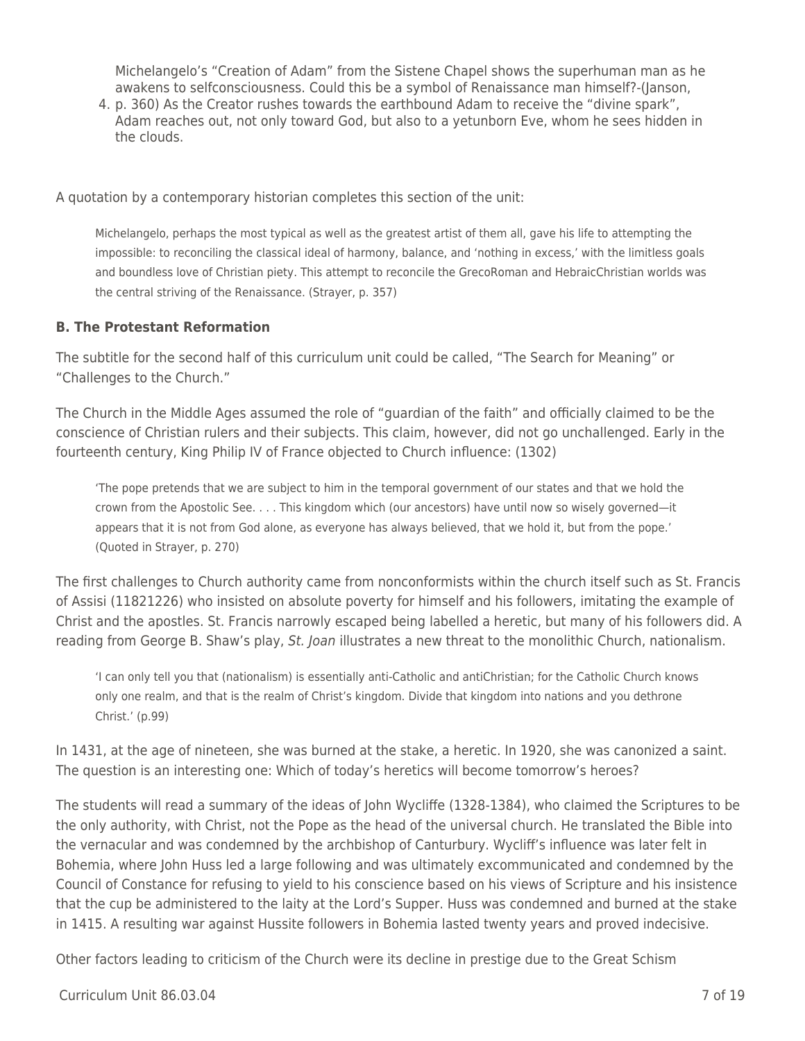Michelangelo's "Creation of Adam" from the Sistene Chapel shows the superhuman man as he awakens to selfconsciousness. Could this be a symbol of Renaissance man himself?-(Janson,

4. p. 360) As the Creator rushes towards the earthbound Adam to receive the "divine spark", Adam reaches out, not only toward God, but also to a yetunborn Eve, whom he sees hidden in the clouds.

A quotation by a contemporary historian completes this section of the unit:

Michelangelo, perhaps the most typical as well as the greatest artist of them all, gave his life to attempting the impossible: to reconciling the classical ideal of harmony, balance, and 'nothing in excess,' with the limitless goals and boundless love of Christian piety. This attempt to reconcile the GrecoRoman and HebraicChristian worlds was the central striving of the Renaissance. (Strayer, p. 357)

# **B. The Protestant Reformation**

The subtitle for the second half of this curriculum unit could be called, "The Search for Meaning" or "Challenges to the Church."

The Church in the Middle Ages assumed the role of "guardian of the faith" and officially claimed to be the conscience of Christian rulers and their subjects. This claim, however, did not go unchallenged. Early in the fourteenth century, King Philip IV of France objected to Church influence: (1302)

'The pope pretends that we are subject to him in the temporal government of our states and that we hold the crown from the Apostolic See. . . . This kingdom which (our ancestors) have until now so wisely governed—it appears that it is not from God alone, as everyone has always believed, that we hold it, but from the pope.' (Quoted in Strayer, p. 270)

The first challenges to Church authority came from nonconformists within the church itself such as St. Francis of Assisi (11821226) who insisted on absolute poverty for himself and his followers, imitating the example of Christ and the apostles. St. Francis narrowly escaped being labelled a heretic, but many of his followers did. A reading from George B. Shaw's play, St. Joan illustrates a new threat to the monolithic Church, nationalism.

'I can only tell you that (nationalism) is essentially anti-Catholic and antiChristian; for the Catholic Church knows only one realm, and that is the realm of Christ's kingdom. Divide that kingdom into nations and you dethrone Christ.' (p.99)

In 1431, at the age of nineteen, she was burned at the stake, a heretic. In 1920, she was canonized a saint. The question is an interesting one: Which of today's heretics will become tomorrow's heroes?

The students will read a summary of the ideas of John Wycliffe (1328-1384), who claimed the Scriptures to be the only authority, with Christ, not the Pope as the head of the universal church. He translated the Bible into the vernacular and was condemned by the archbishop of Canturbury. Wycliff's influence was later felt in Bohemia, where John Huss led a large following and was ultimately excommunicated and condemned by the Council of Constance for refusing to yield to his conscience based on his views of Scripture and his insistence that the cup be administered to the laity at the Lord's Supper. Huss was condemned and burned at the stake in 1415. A resulting war against Hussite followers in Bohemia lasted twenty years and proved indecisive.

Other factors leading to criticism of the Church were its decline in prestige due to the Great Schism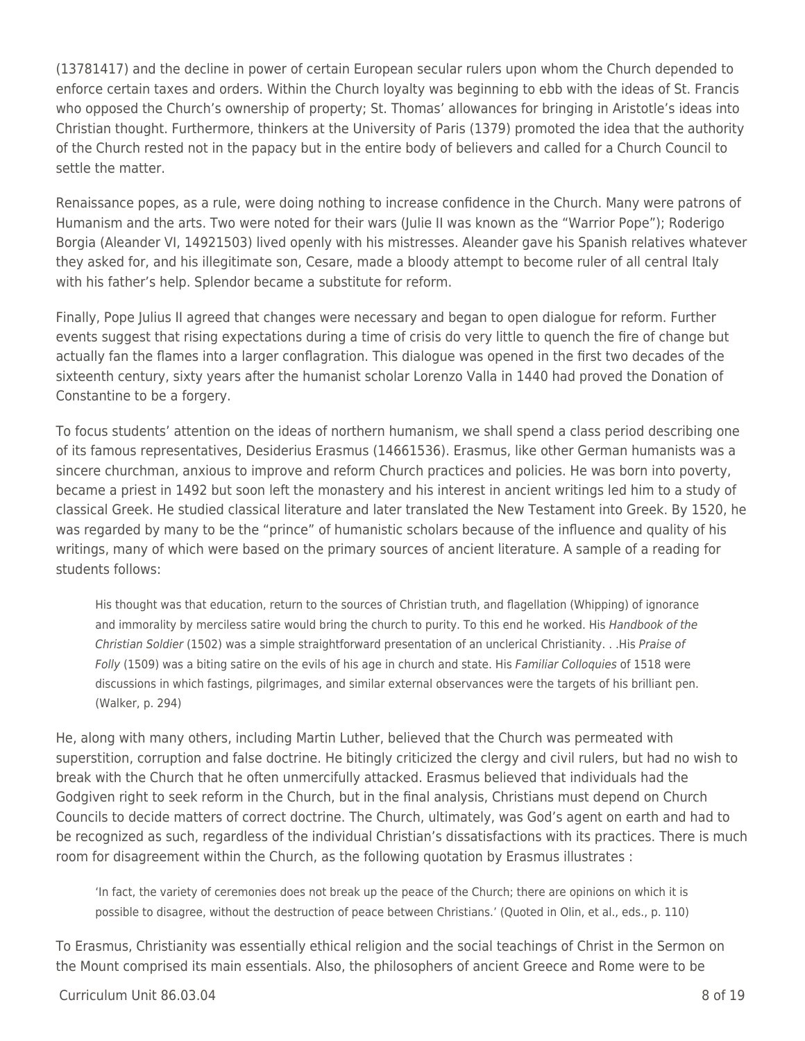(13781417) and the decline in power of certain European secular rulers upon whom the Church depended to enforce certain taxes and orders. Within the Church loyalty was beginning to ebb with the ideas of St. Francis who opposed the Church's ownership of property; St. Thomas' allowances for bringing in Aristotle's ideas into Christian thought. Furthermore, thinkers at the University of Paris (1379) promoted the idea that the authority of the Church rested not in the papacy but in the entire body of believers and called for a Church Council to settle the matter.

Renaissance popes, as a rule, were doing nothing to increase confidence in the Church. Many were patrons of Humanism and the arts. Two were noted for their wars (Julie II was known as the "Warrior Pope"); Roderigo Borgia (Aleander VI, 14921503) lived openly with his mistresses. Aleander gave his Spanish relatives whatever they asked for, and his illegitimate son, Cesare, made a bloody attempt to become ruler of all central Italy with his father's help. Splendor became a substitute for reform.

Finally, Pope Julius II agreed that changes were necessary and began to open dialogue for reform. Further events suggest that rising expectations during a time of crisis do very little to quench the fire of change but actually fan the flames into a larger conflagration. This dialogue was opened in the first two decades of the sixteenth century, sixty years after the humanist scholar Lorenzo Valla in 1440 had proved the Donation of Constantine to be a forgery.

To focus students' attention on the ideas of northern humanism, we shall spend a class period describing one of its famous representatives, Desiderius Erasmus (14661536). Erasmus, like other German humanists was a sincere churchman, anxious to improve and reform Church practices and policies. He was born into poverty, became a priest in 1492 but soon left the monastery and his interest in ancient writings led him to a study of classical Greek. He studied classical literature and later translated the New Testament into Greek. By 1520, he was regarded by many to be the "prince" of humanistic scholars because of the influence and quality of his writings, many of which were based on the primary sources of ancient literature. A sample of a reading for students follows:

His thought was that education, return to the sources of Christian truth, and flagellation (Whipping) of ignorance and immorality by merciless satire would bring the church to purity. To this end he worked. His Handbook of the Christian Soldier (1502) was a simple straightforward presentation of an unclerical Christianity. . .His Praise of Folly (1509) was a biting satire on the evils of his age in church and state. His Familiar Colloquies of 1518 were discussions in which fastings, pilgrimages, and similar external observances were the targets of his brilliant pen. (Walker, p. 294)

He, along with many others, including Martin Luther, believed that the Church was permeated with superstition, corruption and false doctrine. He bitingly criticized the clergy and civil rulers, but had no wish to break with the Church that he often unmercifully attacked. Erasmus believed that individuals had the Godgiven right to seek reform in the Church, but in the final analysis, Christians must depend on Church Councils to decide matters of correct doctrine. The Church, ultimately, was God's agent on earth and had to be recognized as such, regardless of the individual Christian's dissatisfactions with its practices. There is much room for disagreement within the Church, as the following quotation by Erasmus illustrates :

'In fact, the variety of ceremonies does not break up the peace of the Church; there are opinions on which it is possible to disagree, without the destruction of peace between Christians.' (Quoted in Olin, et al., eds., p. 110)

To Erasmus, Christianity was essentially ethical religion and the social teachings of Christ in the Sermon on the Mount comprised its main essentials. Also, the philosophers of ancient Greece and Rome were to be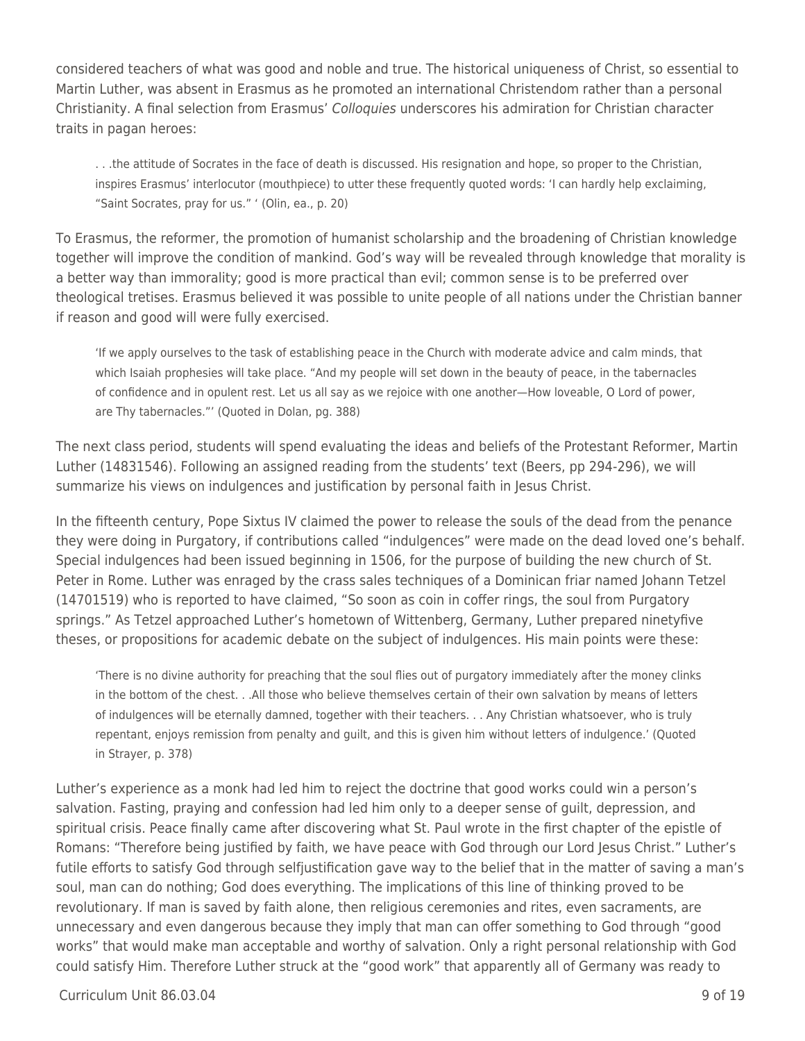considered teachers of what was good and noble and true. The historical uniqueness of Christ, so essential to Martin Luther, was absent in Erasmus as he promoted an international Christendom rather than a personal Christianity. A final selection from Erasmus' Colloquies underscores his admiration for Christian character traits in pagan heroes:

. . .the attitude of Socrates in the face of death is discussed. His resignation and hope, so proper to the Christian, inspires Erasmus' interlocutor (mouthpiece) to utter these frequently quoted words: 'I can hardly help exclaiming, "Saint Socrates, pray for us." ' (Olin, ea., p. 20)

To Erasmus, the reformer, the promotion of humanist scholarship and the broadening of Christian knowledge together will improve the condition of mankind. God's way will be revealed through knowledge that morality is a better way than immorality; good is more practical than evil; common sense is to be preferred over theological tretises. Erasmus believed it was possible to unite people of all nations under the Christian banner if reason and good will were fully exercised.

'If we apply ourselves to the task of establishing peace in the Church with moderate advice and calm minds, that which Isaiah prophesies will take place. "And my people will set down in the beauty of peace, in the tabernacles of confidence and in opulent rest. Let us all say as we rejoice with one another—How loveable, O Lord of power, are Thy tabernacles."' (Quoted in Dolan, pg. 388)

The next class period, students will spend evaluating the ideas and beliefs of the Protestant Reformer, Martin Luther (14831546). Following an assigned reading from the students' text (Beers, pp 294-296), we will summarize his views on indulgences and justification by personal faith in Jesus Christ.

In the fifteenth century, Pope Sixtus IV claimed the power to release the souls of the dead from the penance they were doing in Purgatory, if contributions called "indulgences" were made on the dead loved one's behalf. Special indulgences had been issued beginning in 1506, for the purpose of building the new church of St. Peter in Rome. Luther was enraged by the crass sales techniques of a Dominican friar named Johann Tetzel (14701519) who is reported to have claimed, "So soon as coin in coffer rings, the soul from Purgatory springs." As Tetzel approached Luther's hometown of Wittenberg, Germany, Luther prepared ninetyfive theses, or propositions for academic debate on the subject of indulgences. His main points were these:

'There is no divine authority for preaching that the soul flies out of purgatory immediately after the money clinks in the bottom of the chest. . .All those who believe themselves certain of their own salvation by means of letters of indulgences will be eternally damned, together with their teachers. . . Any Christian whatsoever, who is truly repentant, enjoys remission from penalty and guilt, and this is given him without letters of indulgence.' (Quoted in Strayer, p. 378)

Luther's experience as a monk had led him to reject the doctrine that good works could win a person's salvation. Fasting, praying and confession had led him only to a deeper sense of guilt, depression, and spiritual crisis. Peace finally came after discovering what St. Paul wrote in the first chapter of the epistle of Romans: "Therefore being justified by faith, we have peace with God through our Lord Jesus Christ." Luther's futile efforts to satisfy God through selfjustification gave way to the belief that in the matter of saving a man's soul, man can do nothing; God does everything. The implications of this line of thinking proved to be revolutionary. If man is saved by faith alone, then religious ceremonies and rites, even sacraments, are unnecessary and even dangerous because they imply that man can offer something to God through "good works" that would make man acceptable and worthy of salvation. Only a right personal relationship with God could satisfy Him. Therefore Luther struck at the "good work" that apparently all of Germany was ready to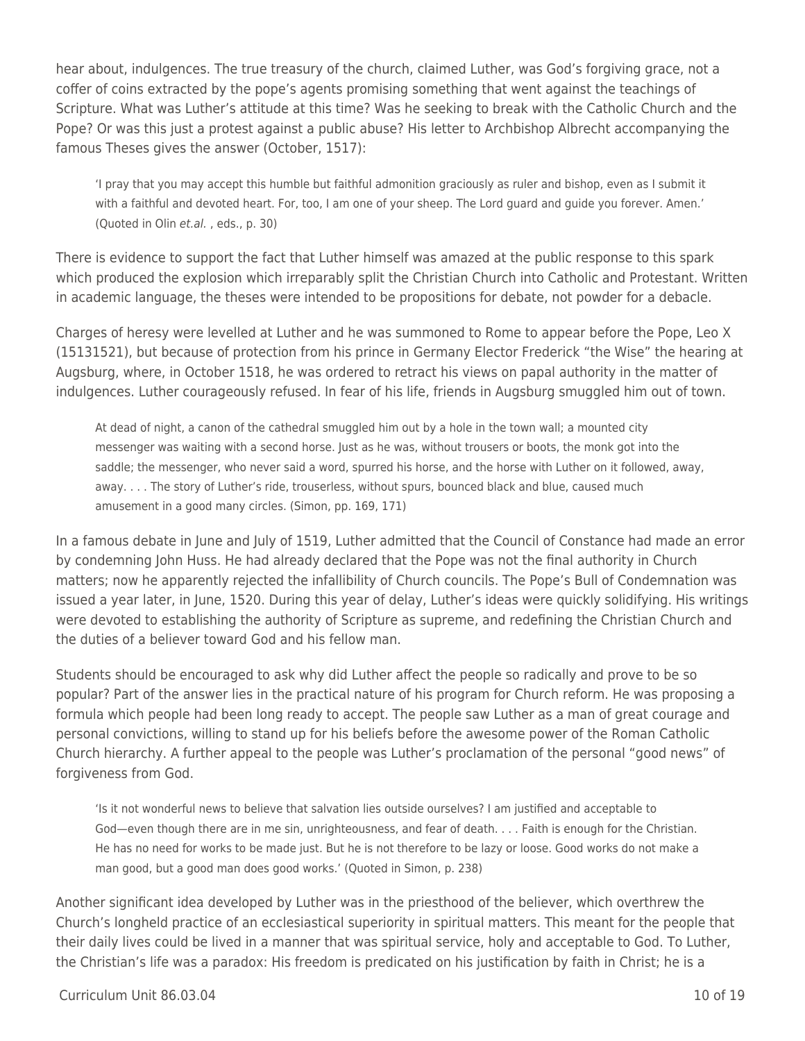hear about, indulgences. The true treasury of the church, claimed Luther, was God's forgiving grace, not a coffer of coins extracted by the pope's agents promising something that went against the teachings of Scripture. What was Luther's attitude at this time? Was he seeking to break with the Catholic Church and the Pope? Or was this just a protest against a public abuse? His letter to Archbishop Albrecht accompanying the famous Theses gives the answer (October, 1517):

'I pray that you may accept this humble but faithful admonition graciously as ruler and bishop, even as I submit it with a faithful and devoted heart. For, too, I am one of your sheep. The Lord guard and guide you forever. Amen.' (Quoted in Olin et.al. , eds., p. 30)

There is evidence to support the fact that Luther himself was amazed at the public response to this spark which produced the explosion which irreparably split the Christian Church into Catholic and Protestant. Written in academic language, the theses were intended to be propositions for debate, not powder for a debacle.

Charges of heresy were levelled at Luther and he was summoned to Rome to appear before the Pope, Leo X (15131521), but because of protection from his prince in Germany Elector Frederick "the Wise" the hearing at Augsburg, where, in October 1518, he was ordered to retract his views on papal authority in the matter of indulgences. Luther courageously refused. In fear of his life, friends in Augsburg smuggled him out of town.

At dead of night, a canon of the cathedral smuggled him out by a hole in the town wall; a mounted city messenger was waiting with a second horse. Just as he was, without trousers or boots, the monk got into the saddle; the messenger, who never said a word, spurred his horse, and the horse with Luther on it followed, away, away. . . . The story of Luther's ride, trouserless, without spurs, bounced black and blue, caused much amusement in a good many circles. (Simon, pp. 169, 171)

In a famous debate in June and July of 1519, Luther admitted that the Council of Constance had made an error by condemning John Huss. He had already declared that the Pope was not the final authority in Church matters; now he apparently rejected the infallibility of Church councils. The Pope's Bull of Condemnation was issued a year later, in June, 1520. During this year of delay, Luther's ideas were quickly solidifying. His writings were devoted to establishing the authority of Scripture as supreme, and redefining the Christian Church and the duties of a believer toward God and his fellow man.

Students should be encouraged to ask why did Luther affect the people so radically and prove to be so popular? Part of the answer lies in the practical nature of his program for Church reform. He was proposing a formula which people had been long ready to accept. The people saw Luther as a man of great courage and personal convictions, willing to stand up for his beliefs before the awesome power of the Roman Catholic Church hierarchy. A further appeal to the people was Luther's proclamation of the personal "good news" of forgiveness from God.

'Is it not wonderful news to believe that salvation lies outside ourselves? I am justified and acceptable to God—even though there are in me sin, unrighteousness, and fear of death. . . . Faith is enough for the Christian. He has no need for works to be made just. But he is not therefore to be lazy or loose. Good works do not make a man good, but a good man does good works.' (Quoted in Simon, p. 238)

Another significant idea developed by Luther was in the priesthood of the believer, which overthrew the Church's longheld practice of an ecclesiastical superiority in spiritual matters. This meant for the people that their daily lives could be lived in a manner that was spiritual service, holy and acceptable to God. To Luther, the Christian's life was a paradox: His freedom is predicated on his justification by faith in Christ; he is a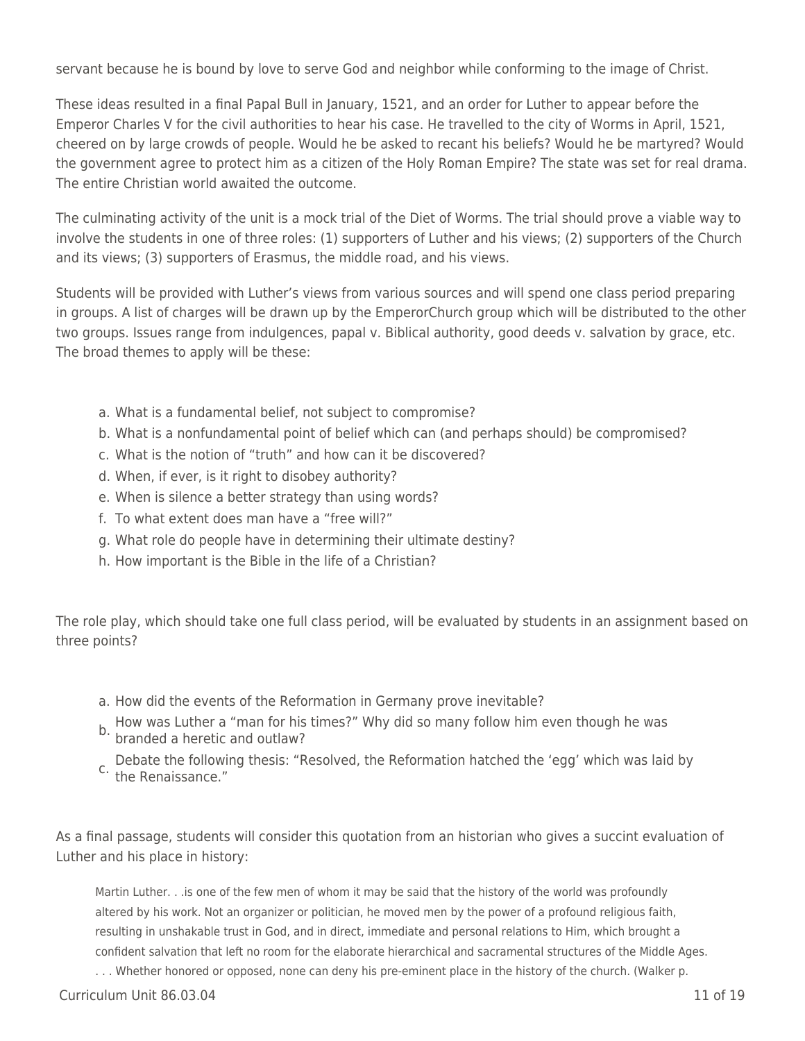servant because he is bound by love to serve God and neighbor while conforming to the image of Christ.

These ideas resulted in a final Papal Bull in January, 1521, and an order for Luther to appear before the Emperor Charles V for the civil authorities to hear his case. He travelled to the city of Worms in April, 1521, cheered on by large crowds of people. Would he be asked to recant his beliefs? Would he be martyred? Would the government agree to protect him as a citizen of the Holy Roman Empire? The state was set for real drama. The entire Christian world awaited the outcome.

The culminating activity of the unit is a mock trial of the Diet of Worms. The trial should prove a viable way to involve the students in one of three roles: (1) supporters of Luther and his views; (2) supporters of the Church and its views; (3) supporters of Erasmus, the middle road, and his views.

Students will be provided with Luther's views from various sources and will spend one class period preparing in groups. A list of charges will be drawn up by the EmperorChurch group which will be distributed to the other two groups. Issues range from indulgences, papal v. Biblical authority, good deeds v. salvation by grace, etc. The broad themes to apply will be these:

- a. What is a fundamental belief, not subject to compromise?
- b. What is a nonfundamental point of belief which can (and perhaps should) be compromised?
- c. What is the notion of "truth" and how can it be discovered?
- d. When, if ever, is it right to disobey authority?
- e. When is silence a better strategy than using words?
- f. To what extent does man have a "free will?"
- g. What role do people have in determining their ultimate destiny?
- h. How important is the Bible in the life of a Christian?

The role play, which should take one full class period, will be evaluated by students in an assignment based on three points?

- a. How did the events of the Reformation in Germany prove inevitable?
- b. How was Luther a "man for his times?" Why did so many follow him even though he was<br>b. branded a heretic and outlaw?
- Debate the following thesis: "Resolved, the Reformation hatched the 'egg' which was laid by<br>C. the Benaissance." the Renaissance."

As a final passage, students will consider this quotation from an historian who gives a succint evaluation of Luther and his place in history:

Martin Luther. . .is one of the few men of whom it may be said that the history of the world was profoundly altered by his work. Not an organizer or politician, he moved men by the power of a profound religious faith, resulting in unshakable trust in God, and in direct, immediate and personal relations to Him, which brought a confident salvation that left no room for the elaborate hierarchical and sacramental structures of the Middle Ages.

. . . Whether honored or opposed, none can deny his pre-eminent place in the history of the church. (Walker p.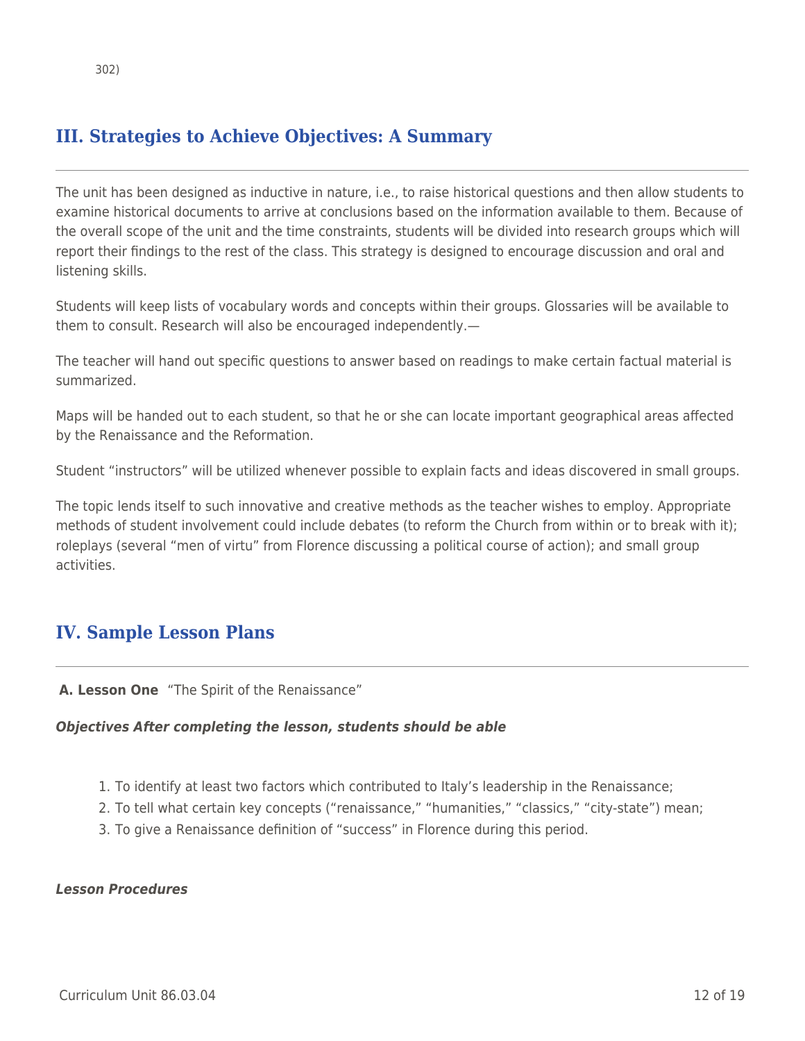# **III. Strategies to Achieve Objectives: A Summary**

The unit has been designed as inductive in nature, i.e., to raise historical questions and then allow students to examine historical documents to arrive at conclusions based on the information available to them. Because of the overall scope of the unit and the time constraints, students will be divided into research groups which will report their findings to the rest of the class. This strategy is designed to encourage discussion and oral and listening skills.

Students will keep lists of vocabulary words and concepts within their groups. Glossaries will be available to them to consult. Research will also be encouraged independently.—

The teacher will hand out specific questions to answer based on readings to make certain factual material is summarized.

Maps will be handed out to each student, so that he or she can locate important geographical areas affected by the Renaissance and the Reformation.

Student "instructors" will be utilized whenever possible to explain facts and ideas discovered in small groups.

The topic lends itself to such innovative and creative methods as the teacher wishes to employ. Appropriate methods of student involvement could include debates (to reform the Church from within or to break with it); roleplays (several "men of virtu" from Florence discussing a political course of action); and small group activities.

# **IV. Sample Lesson Plans**

**A. Lesson One** "The Spirit of the Renaissance"

#### *Objectives After completing the lesson, students should be able*

- 1. To identify at least two factors which contributed to Italy's leadership in the Renaissance;
- 2. To tell what certain key concepts ("renaissance," "humanities," "classics," "city-state") mean;
- 3. To give a Renaissance definition of "success" in Florence during this period.

#### *Lesson Procedures*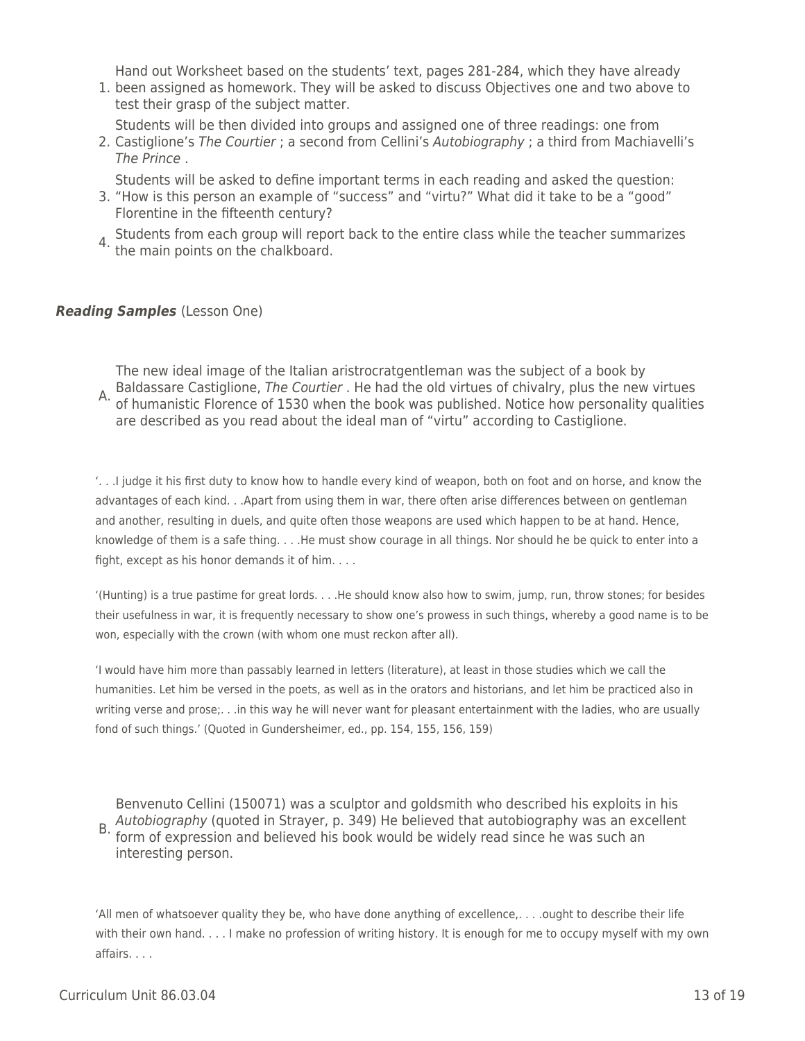Hand out Worksheet based on the students' text, pages 281-284, which they have already

1. been assigned as homework. They will be asked to discuss Objectives one and two above to test their grasp of the subject matter.

Students will be then divided into groups and assigned one of three readings: one from

2. Castiglione's The Courtier ; a second from Cellini's Autobiography ; a third from Machiavelli's The Prince .

Students will be asked to define important terms in each reading and asked the question:

- 3. "How is this person an example of "success" and "virtu?" What did it take to be a "good" Florentine in the fifteenth century?
- 4. Students from each group will report back to the entire class while the teacher summarizes the main points on the chalkboard.

## *Reading Samples* (Lesson One)

A. Baldassare Castiglione, The Courtier . He had the old virtues of chivalry, plus the new virtues<br>A. of humanistic Flarence of 1520 when the heak was published. Natice how personality qualities The new ideal image of the Italian aristrocratgentleman was the subject of a book by of humanistic Florence of 1530 when the book was published. Notice how personality qualities are described as you read about the ideal man of "virtu" according to Castiglione.

'. . .I judge it his first duty to know how to handle every kind of weapon, both on foot and on horse, and know the advantages of each kind. . .Apart from using them in war, there often arise differences between on gentleman and another, resulting in duels, and quite often those weapons are used which happen to be at hand. Hence, knowledge of them is a safe thing. . . .He must show courage in all things. Nor should he be quick to enter into a fight, except as his honor demands it of him. . . .

'(Hunting) is a true pastime for great lords. . . .He should know also how to swim, jump, run, throw stones; for besides their usefulness in war, it is frequently necessary to show one's prowess in such things, whereby a good name is to be won, especially with the crown (with whom one must reckon after all).

'I would have him more than passably learned in letters (literature), at least in those studies which we call the humanities. Let him be versed in the poets, as well as in the orators and historians, and let him be practiced also in writing verse and prose;... in this way he will never want for pleasant entertainment with the ladies, who are usually fond of such things.' (Quoted in Gundersheimer, ed., pp. 154, 155, 156, 159)

B. Additional apply (quoted in Strayer, p. 343) he believed that dutoblography was an ex-<br>form of expression and believed his book would be widely read since he was such an Benvenuto Cellini (150071) was a sculptor and goldsmith who described his exploits in his Autobiography (quoted in Strayer, p. 349) He believed that autobiography was an excellent interesting person.

'All men of whatsoever quality they be, who have done anything of excellence,. . . .ought to describe their life with their own hand. . . . I make no profession of writing history. It is enough for me to occupy myself with my own affairs. . . .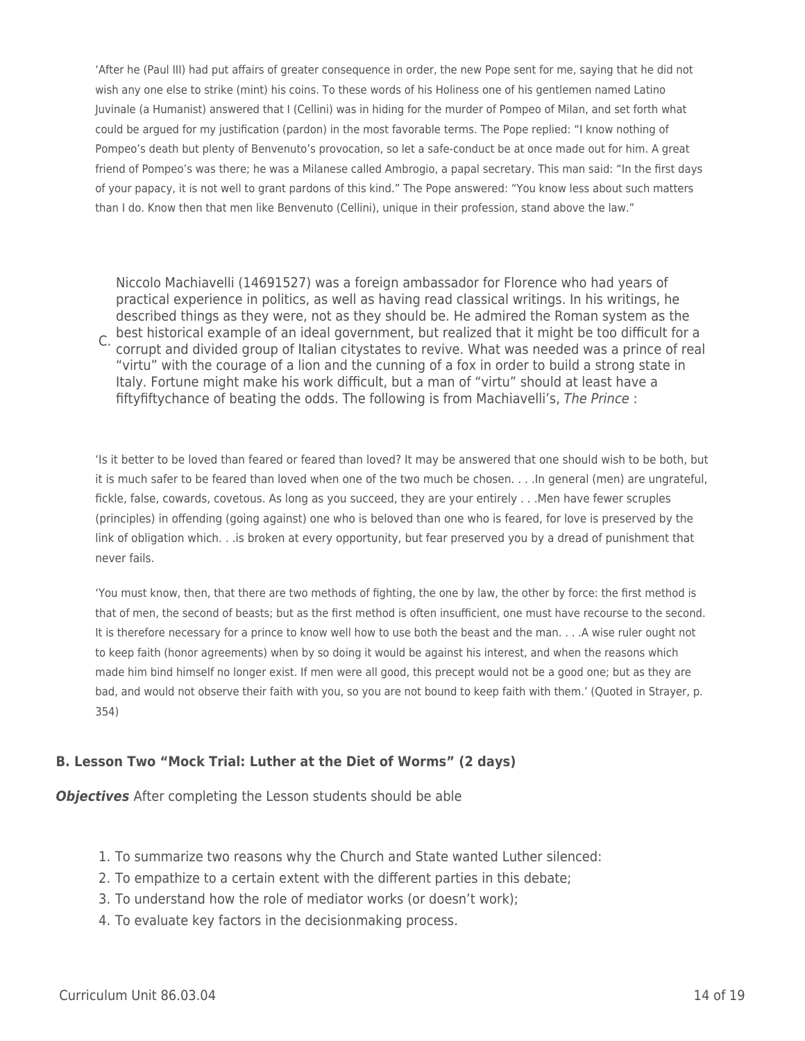'After he (Paul III) had put affairs of greater consequence in order, the new Pope sent for me, saying that he did not wish any one else to strike (mint) his coins. To these words of his Holiness one of his gentlemen named Latino Juvinale (a Humanist) answered that I (Cellini) was in hiding for the murder of Pompeo of Milan, and set forth what could be argued for my justification (pardon) in the most favorable terms. The Pope replied: "I know nothing of Pompeo's death but plenty of Benvenuto's provocation, so let a safe-conduct be at once made out for him. A great friend of Pompeo's was there; he was a Milanese called Ambrogio, a papal secretary. This man said: "In the first days of your papacy, it is not well to grant pardons of this kind." The Pope answered: "You know less about such matters than I do. Know then that men like Benvenuto (Cellini), unique in their profession, stand above the law."

C. best historical example of an ideal government, but realized that it might be too difficult for a<br>C. serrunt and divided group of Italian situatates to revive. What was needed was a prince of rea Niccolo Machiavelli (14691527) was a foreign ambassador for Florence who had years of practical experience in politics, as well as having read classical writings. In his writings, he described things as they were, not as they should be. He admired the Roman system as the corrupt and divided group of Italian citystates to revive. What was needed was a prince of real "virtu" with the courage of a lion and the cunning of a fox in order to build a strong state in Italy. Fortune might make his work difficult, but a man of "virtu" should at least have a fiftyfiftychance of beating the odds. The following is from Machiavelli's, The Prince :

'Is it better to be loved than feared or feared than loved? It may be answered that one should wish to be both, but it is much safer to be feared than loved when one of the two much be chosen. . . .In general (men) are ungrateful, fickle, false, cowards, covetous. As long as you succeed, they are your entirely . . .Men have fewer scruples (principles) in offending (going against) one who is beloved than one who is feared, for love is preserved by the link of obligation which. . .is broken at every opportunity, but fear preserved you by a dread of punishment that never fails.

'You must know, then, that there are two methods of fighting, the one by law, the other by force: the first method is that of men, the second of beasts; but as the first method is often insufficient, one must have recourse to the second. It is therefore necessary for a prince to know well how to use both the beast and the man. . . .A wise ruler ought not to keep faith (honor agreements) when by so doing it would be against his interest, and when the reasons which made him bind himself no longer exist. If men were all good, this precept would not be a good one; but as they are bad, and would not observe their faith with you, so you are not bound to keep faith with them.' (Quoted in Strayer, p. 354)

## **B. Lesson Two "Mock Trial: Luther at the Diet of Worms" (2 days)**

*Objectives* After completing the Lesson students should be able

- 1. To summarize two reasons why the Church and State wanted Luther silenced:
- 2. To empathize to a certain extent with the different parties in this debate;
- 3. To understand how the role of mediator works (or doesn't work);
- 4. To evaluate key factors in the decisionmaking process.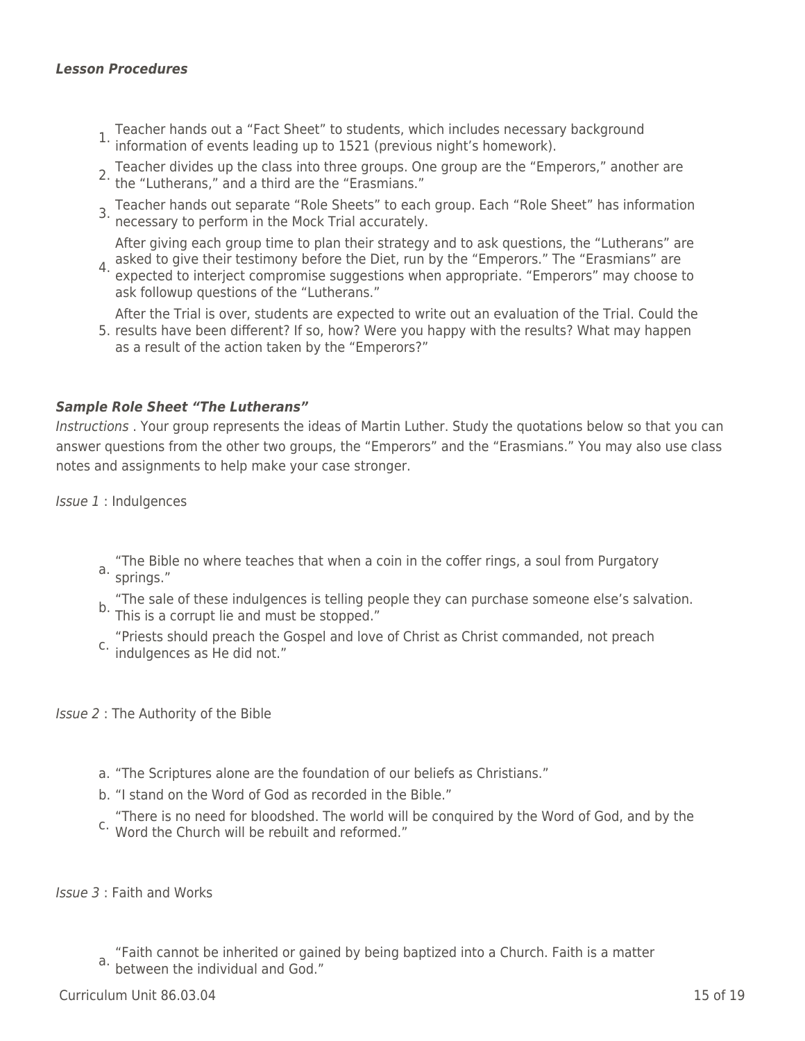#### *Lesson Procedures*

- 1. Teacher hands out a "Fact Sheet" to students, which includes necessary background information of events leading up to 1521 (previous night's homework).
- 2. Teacher divides up the class into three groups. One group are the "Emperors," another are the "Lutherans," and a third are the "Erasmians."
- 3. Teacher hands out separate "Role Sheets" to each group. Each "Role Sheet" has information necessary to perform in the Mock Trial accurately.

After giving each group time to plan their strategy and to ask questions, the "Lutherans" are

4. asked to give their testimony before the Diet, run by the "Emperors." The "Erasmians" are<br>4. expected to interiect compremise suggestions when appropriate "Emperors" may shoose expected to interject compromise suggestions when appropriate. "Emperors" may choose to ask followup questions of the "Lutherans."

After the Trial is over, students are expected to write out an evaluation of the Trial. Could the

5. results have been different? If so, how? Were you happy with the results? What may happen as a result of the action taken by the "Emperors?"

#### *Sample Role Sheet "The Lutherans"*

Instructions . Your group represents the ideas of Martin Luther. Study the quotations below so that you can answer questions from the other two groups, the "Emperors" and the "Erasmians." You may also use class notes and assignments to help make your case stronger.

Issue 1 : Indulgences

- a. springs." "The Bible no where teaches that when a coin in the coffer rings, a soul from Purgatory
- "The sale of these indulgences is telling people they can purchase someone else's salvation. b. This is a corrupt lie and must be stopped."
- c. These should preach the v "Priests should preach the Gospel and love of Christ as Christ commanded, not preach

Issue 2 : The Authority of the Bible

- a. "The Scriptures alone are the foundation of our beliefs as Christians."
- b. "I stand on the Word of God as recorded in the Bible."
- c. Word the Church will be rebuilt and reformed." "There is no need for bloodshed. The world will be conquired by the Word of God, and by the

Issue 3 : Faith and Works

a. Futured the individual and God." "Faith cannot be inherited or gained by being baptized into a Church. Faith is a matter

 $C$ urriculum Unit 86.03.04 15 of 19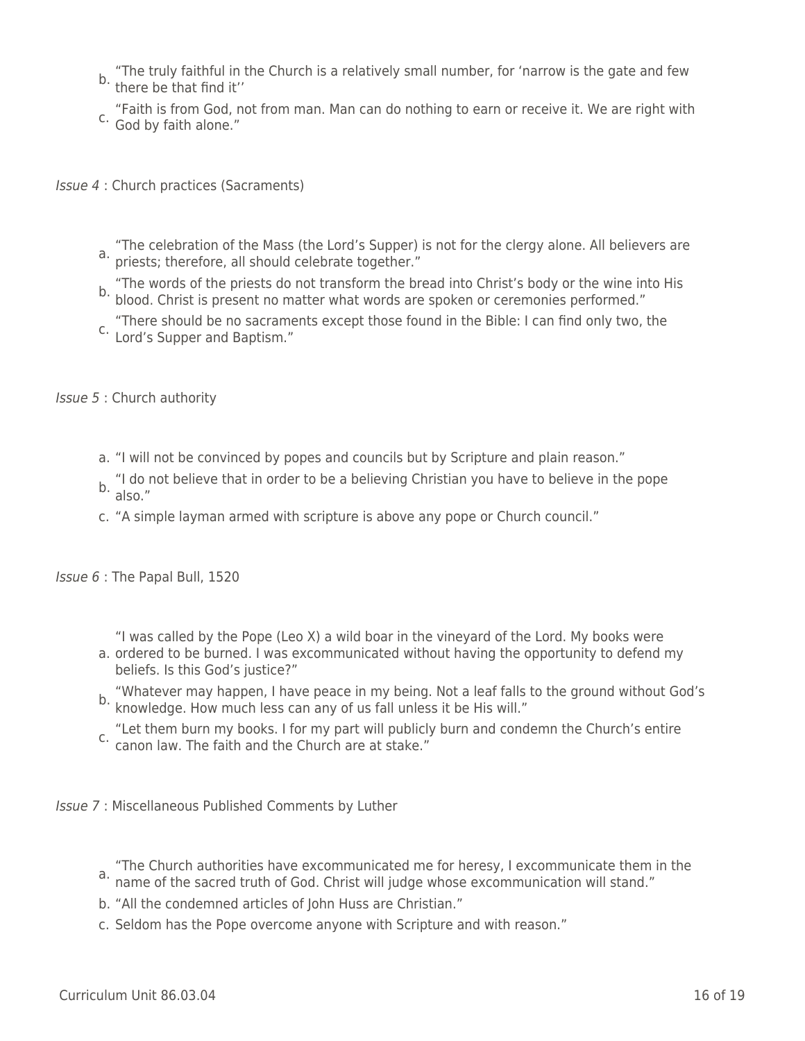- b. "The truly faithful in the Church is a relatively small number, for 'narrow is the gate and few b. there be that find it"
- "Faith is from God, not from man. Man can do nothing to earn or receive it. We are right with<br>C. Cod by faith alone " God by faith alone."

Issue 4 : Church practices (Sacraments)

- a. The econdation of the mass (the Eord's Supper) "The celebration of the Mass (the Lord's Supper) is not for the clergy alone. All believers are
- b. "The words of the priests do not transform the bread into Christ's body or the wine into His blood. Christ is present no matter what words are spoken or ceremonies performed."
- c. There should be no sucrants "There should be no sacraments except those found in the Bible: I can find only two, the

Issue 5 : Church authority

- a. "I will not be convinced by popes and councils but by Scripture and plain reason."
- b. "I do not believe that in order to be a believing Christian you have to believe in the pope<br>b. also."
- c. "A simple layman armed with scripture is above any pope or Church council."

Issue 6 : The Papal Bull, 1520

"I was called by the Pope (Leo X) a wild boar in the vineyard of the Lord. My books were

- a. ordered to be burned. I was excommunicated without having the opportunity to defend my beliefs. Is this God's justice?"
- "Whatever may happen, I have peace in my being. Not a leaf falls to the ground without God's b. Whatever may happen, make power many of us fall unless it be His will."
- c. canon law. The faith and the Church are at stake." "Let them burn my books. I for my part will publicly burn and condemn the Church's entire

Issue 7 : Miscellaneous Published Comments by Luther

- a. The charen dationities have excommunicated the for heresy, I excommunicated them.<br>a. name of the sacred truth of God. Christ will judge whose excommunication will stand." "The Church authorities have excommunicated me for heresy, I excommunicate them in the
- b. "All the condemned articles of John Huss are Christian."
- c. Seldom has the Pope overcome anyone with Scripture and with reason."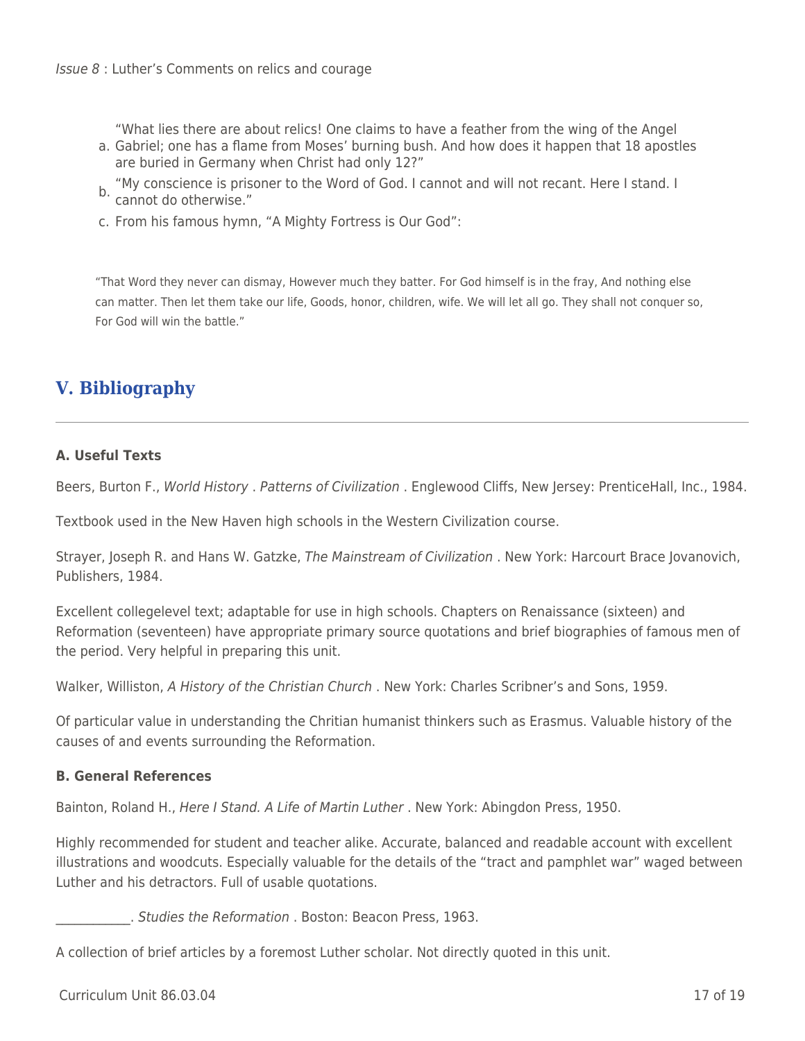"What lies there are about relics! One claims to have a feather from the wing of the Angel

- a. Gabriel; one has a flame from Moses' burning bush. And how does it happen that 18 apostles are buried in Germany when Christ had only 12?"
- b. "My conscience is prisoner to the Word of God. I cannot and will not recant. Here I stand. I b. rus conservative."
- c. From his famous hymn, "A Mighty Fortress is Our God":

"That Word they never can dismay, However much they batter. For God himself is in the fray, And nothing else can matter. Then let them take our life, Goods, honor, children, wife. We will let all go. They shall not conquer so, For God will win the battle."

# **V. Bibliography**

## **A. Useful Texts**

Beers, Burton F., World History . Patterns of Civilization . Englewood Cliffs, New Jersey: PrenticeHall, Inc., 1984.

Textbook used in the New Haven high schools in the Western Civilization course.

Strayer, Joseph R. and Hans W. Gatzke, The Mainstream of Civilization . New York: Harcourt Brace Jovanovich, Publishers, 1984.

Excellent collegelevel text; adaptable for use in high schools. Chapters on Renaissance (sixteen) and Reformation (seventeen) have appropriate primary source quotations and brief biographies of famous men of the period. Very helpful in preparing this unit.

Walker, Williston, A History of the Christian Church . New York: Charles Scribner's and Sons, 1959.

Of particular value in understanding the Chritian humanist thinkers such as Erasmus. Valuable history of the causes of and events surrounding the Reformation.

## **B. General References**

Bainton, Roland H., Here I Stand. A Life of Martin Luther . New York: Abingdon Press, 1950.

Highly recommended for student and teacher alike. Accurate, balanced and readable account with excellent illustrations and woodcuts. Especially valuable for the details of the "tract and pamphlet war" waged between Luther and his detractors. Full of usable quotations.

\_\_\_\_\_\_\_\_\_\_\_\_. Studies the Reformation . Boston: Beacon Press, 1963.

A collection of brief articles by a foremost Luther scholar. Not directly quoted in this unit.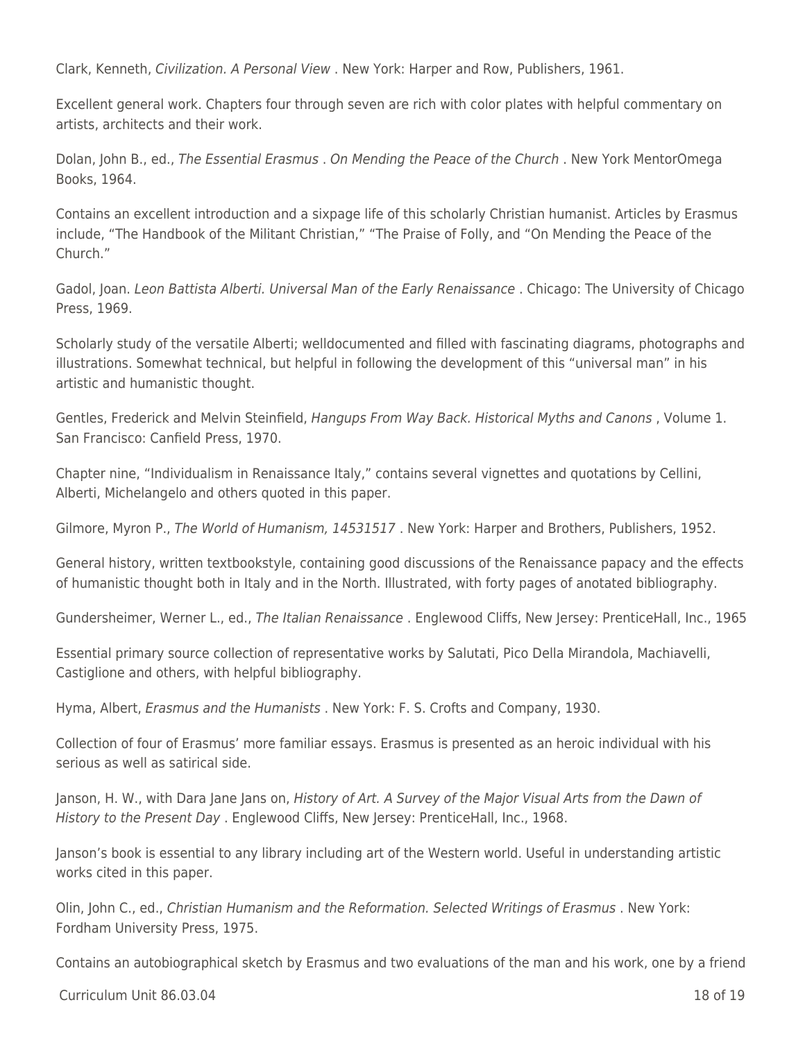Clark, Kenneth, Civilization. A Personal View . New York: Harper and Row, Publishers, 1961.

Excellent general work. Chapters four through seven are rich with color plates with helpful commentary on artists, architects and their work.

Dolan, John B., ed., The Essential Erasmus . On Mending the Peace of the Church . New York MentorOmega Books, 1964.

Contains an excellent introduction and a sixpage life of this scholarly Christian humanist. Articles by Erasmus include, "The Handbook of the Militant Christian," "The Praise of Folly, and "On Mending the Peace of the Church."

Gadol, Joan. Leon Battista Alberti. Universal Man of the Early Renaissance . Chicago: The University of Chicago Press, 1969.

Scholarly study of the versatile Alberti; welldocumented and filled with fascinating diagrams, photographs and illustrations. Somewhat technical, but helpful in following the development of this "universal man" in his artistic and humanistic thought.

Gentles, Frederick and Melvin Steinfield, Hangups From Way Back. Historical Myths and Canons , Volume 1. San Francisco: Canfield Press, 1970.

Chapter nine, "Individualism in Renaissance Italy," contains several vignettes and quotations by Cellini, Alberti, Michelangelo and others quoted in this paper.

Gilmore, Myron P., The World of Humanism, 14531517 . New York: Harper and Brothers, Publishers, 1952.

General history, written textbookstyle, containing good discussions of the Renaissance papacy and the effects of humanistic thought both in Italy and in the North. Illustrated, with forty pages of anotated bibliography.

Gundersheimer, Werner L., ed., The Italian Renaissance . Englewood Cliffs, New Jersey: PrenticeHall, Inc., 1965

Essential primary source collection of representative works by Salutati, Pico Della Mirandola, Machiavelli, Castiglione and others, with helpful bibliography.

Hyma, Albert, Erasmus and the Humanists . New York: F. S. Crofts and Company, 1930.

Collection of four of Erasmus' more familiar essays. Erasmus is presented as an heroic individual with his serious as well as satirical side.

Janson, H. W., with Dara Jane Jans on, History of Art. A Survey of the Major Visual Arts from the Dawn of History to the Present Day . Englewood Cliffs, New Jersey: PrenticeHall, Inc., 1968.

Janson's book is essential to any library including art of the Western world. Useful in understanding artistic works cited in this paper.

Olin, John C., ed., Christian Humanism and the Reformation. Selected Writings of Erasmus . New York: Fordham University Press, 1975.

Contains an autobiographical sketch by Erasmus and two evaluations of the man and his work, one by a friend

 $C$ urriculum Unit 86.03.04 18 of 19